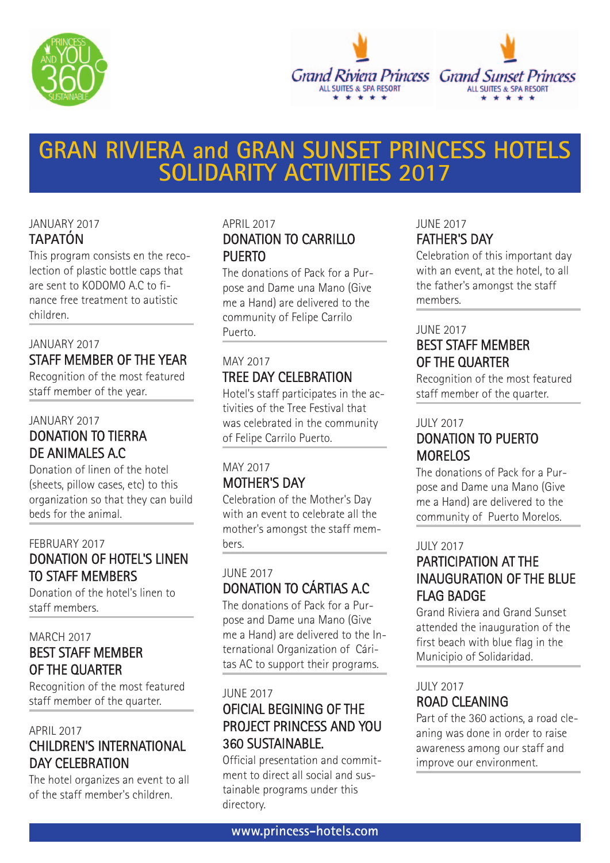



# **GRAN RIVIERA and GRAN SUNSET PRINCESS HOTELS SOLIDARITY ACTIVITIES 2017**

## JANUARY 2017 **TAPATÓN**

This program consists en the recolection of plastic bottle caps that are sent to KODOMO A.C to finance free treatment to autistic children.

## JANUARY 2017 STAFF MEMBER OF THE YEAR

Recognition of the most featured staff member of the year.

## JANUARY 2017 DONATION TO TIERRA DE ANIMALES A.C

Donation of linen of the hotel (sheets, pillow cases, etc) to this organization so that they can build beds for the animal.

## FEBRUARY 2017 DONATION OF HOTEL'S LINEN TO STAFF MEMBERS

Donation of the hotel's linen to staff members.

## MARCH 2017 BEST STAFF MEMBER OF THE QUARTER

Recognition of the most featured staff member of the quarter.

## APRIL 2017 CHILDREN'S INTERNATIONAL DAY CELEBRATION

The hotel organizes an event to all of the staff member's children.

## APRIL 2017 DONATION TO CARRILLO PUFRTO

The donations of Pack for a Purpose and Dame una Mano (Give me a Hand) are delivered to the community of Felipe Carrilo Puerto.

## MAY 2017 TREE DAY CELEBRATION

Hotel's staff participates in the activities of the Tree Festival that was celebrated in the community of Felipe Carrilo Puerto.

## MAY 2017 MOTHER'S DAY

Celebration of the Mother's Day with an event to celebrate all the mother's amongst the staff members.

## JUNE 2017 DONATION TO CÁRTIAS A.C

The donations of Pack for a Purpose and Dame una Mano (Give me a Hand) are delivered to the International Organization of Cáritas AC to support their programs.

## JUNE 2017 OFICIAL BEGINING OF THE PROJECT PRINCESS AND YOU 360 SUSTAINABLE.

Official presentation and commitment to direct all social and sustainable programs under this directory.

## JUNE 2017 FATHER'S DAY

Celebration of this important day with an event, at the hotel, to all the father's amongst the staff members.

#### JUNE 2017

## BEST STAFF MEMBER OF THE QUARTER

Recognition of the most featured staff member of the quarter.

#### JULY 2017

## DONATION TO PUERTO MORELOS

The donations of Pack for a Purpose and Dame una Mano (Give me a Hand) are delivered to the community of Puerto Morelos.

#### JULY 2017

## PARTICIPATION AT THE INAUGURATION OF THE BLUE FLAG BADGE

Grand Riviera and Grand Sunset attended the inauguration of the first beach with blue flag in the Municipio of Solidaridad.

## JULY 2017 ROAD CLEANING

Part of the 360 actions, a road cleaning was done in order to raise awareness among our staff and improve our environment.